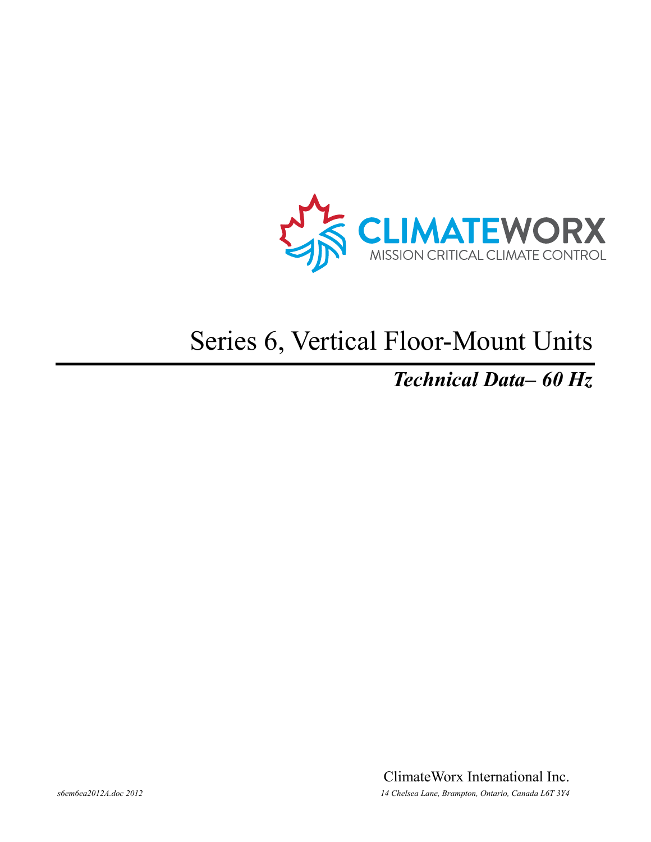

# Series 6, Vertical Floor-Mount Units

### *Technical Data– 60 Hz*

ClimateWorx International Inc. *s6em6ea2012A.doc 2012 14 Chelsea Lane, Brampton, Ontario, Canada L6T 3Y4*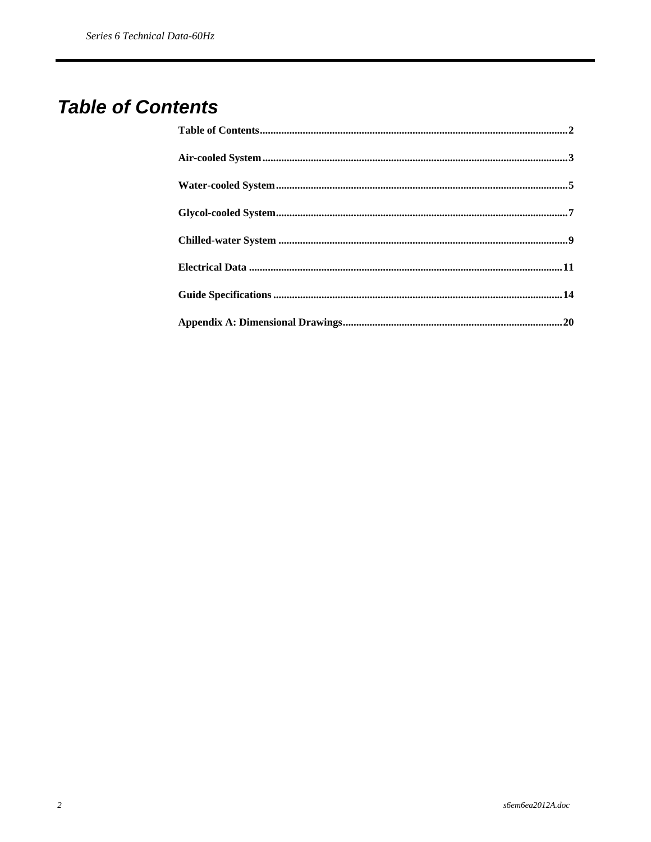### **Table of Contents**

| $\bf Water\text{-}cooled\ System\text{.}5$ |  |
|--------------------------------------------|--|
|                                            |  |
|                                            |  |
|                                            |  |
|                                            |  |
|                                            |  |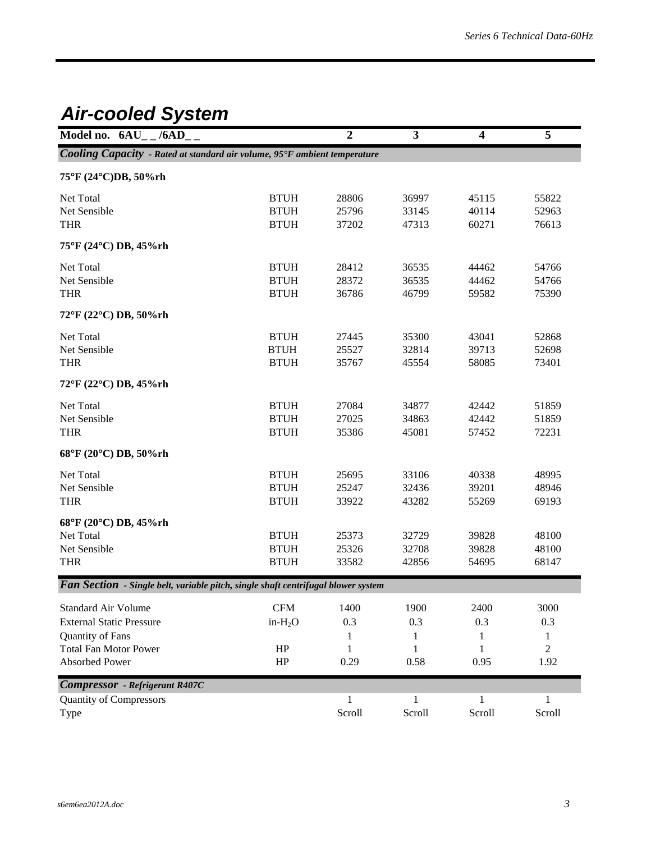### *Air-cooled System*

| Model no. $6AU_-$ /6AD__                                                                                                            |                                           | $\overline{2}$                | $\mathbf{3}$             | $\overline{\mathbf{4}}$  | 5                             |
|-------------------------------------------------------------------------------------------------------------------------------------|-------------------------------------------|-------------------------------|--------------------------|--------------------------|-------------------------------|
| Cooling Capacity - Rated at standard air volume, 95°F ambient temperature                                                           |                                           |                               |                          |                          |                               |
| 75°F (24°C)DB, 50%rh                                                                                                                |                                           |                               |                          |                          |                               |
| Net Total<br>Net Sensible<br><b>THR</b>                                                                                             | <b>BTUH</b><br><b>BTUH</b><br><b>BTUH</b> | 28806<br>25796<br>37202       | 36997<br>33145<br>47313  | 45115<br>40114<br>60271  | 55822<br>52963<br>76613       |
| 75°F (24°C) DB, 45%rh                                                                                                               |                                           |                               |                          |                          |                               |
| Net Total<br>Net Sensible<br><b>THR</b>                                                                                             | <b>BTUH</b><br><b>BTUH</b><br><b>BTUH</b> | 28412<br>28372<br>36786       | 36535<br>36535<br>46799  | 44462<br>44462<br>59582  | 54766<br>54766<br>75390       |
| 72°F (22°C) DB, 50%rh                                                                                                               |                                           |                               |                          |                          |                               |
| Net Total<br>Net Sensible<br><b>THR</b>                                                                                             | <b>BTUH</b><br><b>BTUH</b><br><b>BTUH</b> | 27445<br>25527<br>35767       | 35300<br>32814<br>45554  | 43041<br>39713<br>58085  | 52868<br>52698<br>73401       |
| 72°F (22°C) DB, 45%rh                                                                                                               |                                           |                               |                          |                          |                               |
| Net Total<br>Net Sensible<br><b>THR</b>                                                                                             | <b>BTUH</b><br><b>BTUH</b><br><b>BTUH</b> | 27084<br>27025<br>35386       | 34877<br>34863<br>45081  | 42442<br>42442<br>57452  | 51859<br>51859<br>72231       |
| 68°F (20°C) DB, 50%rh                                                                                                               |                                           |                               |                          |                          |                               |
| Net Total<br>Net Sensible<br><b>THR</b>                                                                                             | <b>BTUH</b><br><b>BTUH</b><br><b>BTUH</b> | 25695<br>25247<br>33922       | 33106<br>32436<br>43282  | 40338<br>39201<br>55269  | 48995<br>48946<br>69193       |
| 68°F (20°C) DB, 45%rh<br>Net Total<br>Net Sensible<br><b>THR</b>                                                                    | <b>BTUH</b><br><b>BTUH</b><br><b>BTUH</b> | 25373<br>25326<br>33582       | 32729<br>32708<br>42856  | 39828<br>39828<br>54695  | 48100<br>48100<br>68147       |
| <b>Fan Section</b> - Single belt, variable pitch, single shaft centrifugal blower system                                            |                                           |                               |                          |                          |                               |
| <b>Standard Air Volume</b><br><b>External Static Pressure</b><br>Quantity of Fans<br><b>Total Fan Motor Power</b><br>Absorbed Power | <b>CFM</b><br>$in-H2O$<br>HP<br>HP        | 1400<br>0.3<br>1<br>1<br>0.29 | 1900<br>0.3<br>1<br>0.58 | 2400<br>0.3<br>1<br>0.95 | 3000<br>0.3<br>1<br>2<br>1.92 |
| <b>Compressor</b> - Refrigerant R407C                                                                                               |                                           |                               |                          |                          |                               |
| <b>Quantity of Compressors</b><br>Type                                                                                              |                                           | 1<br>Scroll                   | Scroll                   | 1<br>Scroll              | Scroll                        |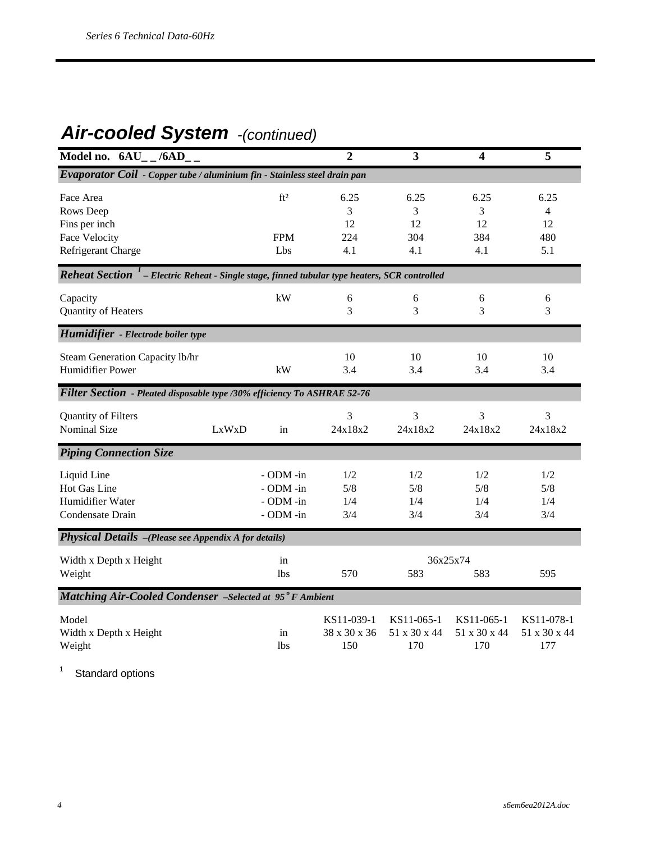### *Air-cooled System -(continued)*

| Model no. $6AU_{-}$ /6AD <sub>-</sub>                                                                            |                                                  | $\overline{2}$                    | $\overline{\mathbf{3}}$           | $\overline{\mathbf{4}}$           | 5                                 |
|------------------------------------------------------------------------------------------------------------------|--------------------------------------------------|-----------------------------------|-----------------------------------|-----------------------------------|-----------------------------------|
| Evaporator Coil - Copper tube / aluminium fin - Stainless steel drain pan                                        |                                                  |                                   |                                   |                                   |                                   |
| Face Area<br>Rows Deep<br>Fins per inch<br>Face Velocity<br>Refrigerant Charge                                   | ft <sup>2</sup><br><b>FPM</b><br>Lbs             | 6.25<br>3<br>12<br>224<br>4.1     | 6.25<br>3<br>12<br>304<br>4.1     | 6.25<br>3<br>12<br>384<br>4.1     | 6.25<br>4<br>12<br>480<br>5.1     |
| <b>Reheat Section</b> <sup>1</sup> – Electric Reheat - Single stage, finned tubular type heaters, SCR controlled |                                                  |                                   |                                   |                                   |                                   |
| Capacity<br>Quantity of Heaters                                                                                  | kW                                               | 6<br>3                            | 6<br>3                            | 6<br>3                            | 6<br>3                            |
| Humidifier - Electrode boiler type                                                                               |                                                  |                                   |                                   |                                   |                                   |
| Steam Generation Capacity lb/hr<br>Humidifier Power                                                              | kW                                               | 10<br>3.4                         | 10<br>3.4                         | 10<br>3.4                         | 10<br>3.4                         |
| Filter Section - Pleated disposable type /30% efficiency To ASHRAE 52-76                                         |                                                  |                                   |                                   |                                   |                                   |
| Quantity of Filters<br><b>Nominal Size</b>                                                                       | LxWxD<br>in                                      | 3<br>24x18x2                      | 3<br>24x18x2                      | 3<br>24x18x2                      | 3<br>24x18x2                      |
| <b>Piping Connection Size</b>                                                                                    |                                                  |                                   |                                   |                                   |                                   |
| Liquid Line<br>Hot Gas Line<br>Humidifier Water<br>Condensate Drain                                              | - ODM -in<br>- ODM -in<br>- ODM -in<br>- ODM -in | 1/2<br>5/8<br>1/4<br>3/4          | 1/2<br>5/8<br>1/4<br>3/4          | 1/2<br>5/8<br>1/4<br>3/4          | 1/2<br>5/8<br>1/4<br>3/4          |
| Physical Details -(Please see Appendix A for details)                                                            |                                                  |                                   |                                   |                                   |                                   |
| Width x Depth x Height<br>Weight                                                                                 | in<br>1 <sub>bs</sub>                            | 570                               | 583                               | 36x25x74<br>583                   | 595                               |
| Matching Air-Cooled Condenser -Selected at 95°F Ambient                                                          |                                                  |                                   |                                   |                                   |                                   |
| Model<br>Width x Depth x Height<br>Weight                                                                        | in<br><b>lbs</b>                                 | KS11-039-1<br>38 x 30 x 36<br>150 | KS11-065-1<br>51 x 30 x 44<br>170 | KS11-065-1<br>51 x 30 x 44<br>170 | KS11-078-1<br>51 x 30 x 44<br>177 |

1 Standard options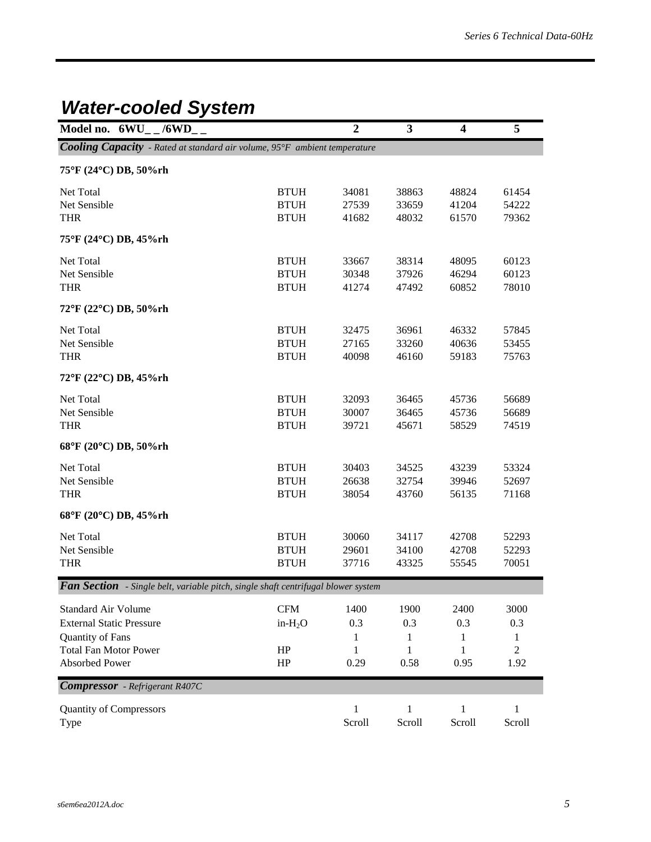## *Water-cooled System*

| Model no. $6WU_{-}$ /6WD_                                                                |             | $\boldsymbol{2}$ | 3            | $\boldsymbol{4}$ | 5              |
|------------------------------------------------------------------------------------------|-------------|------------------|--------------|------------------|----------------|
| Cooling Capacity - Rated at standard air volume, 95°F ambient temperature                |             |                  |              |                  |                |
| 75°F (24°C) DB, 50%rh                                                                    |             |                  |              |                  |                |
|                                                                                          |             |                  |              |                  |                |
| Net Total                                                                                | <b>BTUH</b> | 34081            | 38863        | 48824            | 61454          |
| Net Sensible                                                                             | <b>BTUH</b> | 27539            | 33659        | 41204            | 54222          |
| <b>THR</b>                                                                               | <b>BTUH</b> | 41682            | 48032        | 61570            | 79362          |
| 75°F (24°C) DB, 45%rh                                                                    |             |                  |              |                  |                |
| Net Total                                                                                | <b>BTUH</b> | 33667            | 38314        | 48095            | 60123          |
| Net Sensible                                                                             | <b>BTUH</b> | 30348            | 37926        | 46294            | 60123          |
| <b>THR</b>                                                                               | <b>BTUH</b> | 41274            | 47492        | 60852            | 78010          |
| 72°F (22°C) DB, 50%rh                                                                    |             |                  |              |                  |                |
| Net Total                                                                                | <b>BTUH</b> | 32475            | 36961        | 46332            | 57845          |
| Net Sensible                                                                             | <b>BTUH</b> | 27165            | 33260        | 40636            | 53455          |
| <b>THR</b>                                                                               | <b>BTUH</b> | 40098            | 46160        | 59183            | 75763          |
| 72°F (22°C) DB, 45%rh                                                                    |             |                  |              |                  |                |
|                                                                                          |             |                  |              |                  |                |
| Net Total                                                                                | <b>BTUH</b> | 32093            | 36465        | 45736            | 56689          |
| Net Sensible                                                                             | <b>BTUH</b> | 30007            | 36465        | 45736            | 56689          |
| <b>THR</b>                                                                               | <b>BTUH</b> | 39721            | 45671        | 58529            | 74519          |
| 68°F (20°C) DB, 50%rh                                                                    |             |                  |              |                  |                |
| Net Total                                                                                | <b>BTUH</b> | 30403            | 34525        | 43239            | 53324          |
| Net Sensible                                                                             | <b>BTUH</b> | 26638            | 32754        | 39946            | 52697          |
| <b>THR</b>                                                                               | <b>BTUH</b> | 38054            | 43760        | 56135            | 71168          |
| 68°F (20°C) DB, 45%rh                                                                    |             |                  |              |                  |                |
| Net Total                                                                                | <b>BTUH</b> | 30060            | 34117        | 42708            | 52293          |
| Net Sensible                                                                             | <b>BTUH</b> | 29601            | 34100        | 42708            | 52293          |
| <b>THR</b>                                                                               | <b>BTUH</b> | 37716            | 43325        | 55545            | 70051          |
| <b>Fan Section</b> - Single belt, variable pitch, single shaft centrifugal blower system |             |                  |              |                  |                |
|                                                                                          |             |                  |              |                  |                |
| <b>Standard Air Volume</b>                                                               | CFM         | 1400             | 1900         | 2400             | 3000           |
| <b>External Static Pressure</b>                                                          | $in-H2O$    | 0.3              | 0.3          | 0.3              | 0.3            |
| Quantity of Fans                                                                         |             | 1                | 1            | 1                | 1              |
| <b>Total Fan Motor Power</b>                                                             | HP          | 1                | 1            | 1                | $\overline{2}$ |
| <b>Absorbed Power</b>                                                                    | HP          | 0.29             | 0.58         | 0.95             | 1.92           |
| <b>Compressor</b> - Refrigerant R407C                                                    |             |                  |              |                  |                |
| <b>Quantity of Compressors</b>                                                           |             | $\mathbf 1$      | $\mathbf{1}$ | $\mathbf{1}$     | 1              |
| Type                                                                                     |             | Scroll           | Scroll       | Scroll           | Scroll         |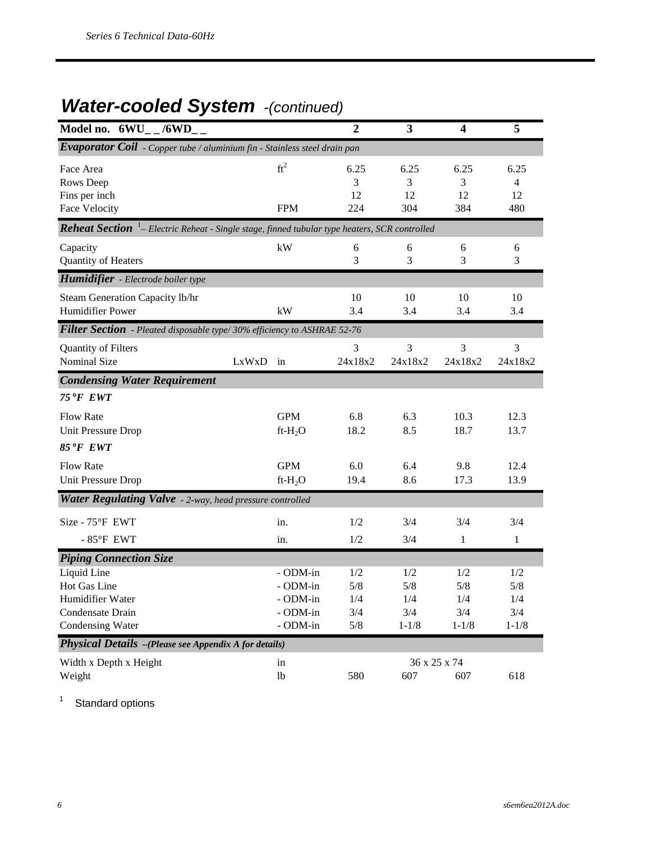### *Water-cooled System -(continued)*

| Model no. $6WU_{-}$ /6WD <sub>-</sub>                                                                    |       |                                                          | $\overline{2}$                  | 3                                     | 4                                     | 5                                     |
|----------------------------------------------------------------------------------------------------------|-------|----------------------------------------------------------|---------------------------------|---------------------------------------|---------------------------------------|---------------------------------------|
| $\overline{Evapor}$ ator $\overline{Coil}$ - Copper tube / aluminium fin - Stainless steel drain pan     |       |                                                          |                                 |                                       |                                       |                                       |
| Face Area<br>Rows Deep<br>Fins per inch<br><b>Face Velocity</b>                                          |       | $ft^2$<br><b>FPM</b>                                     | 6.25<br>3<br>12<br>224          | 6.25<br>3<br>12<br>304                | 6.25<br>3<br>12<br>384                | 6.25<br>4<br>12<br>480                |
| <b>Reheat Section</b> $^1$ - Electric Reheat - Single stage, finned tubular type heaters, SCR controlled |       |                                                          |                                 |                                       |                                       |                                       |
| Capacity<br>Quantity of Heaters                                                                          |       | kW                                                       | 6<br>3                          | 6<br>3                                | 6<br>3                                | 6<br>3                                |
| Humidifier - Electrode boiler type                                                                       |       |                                                          |                                 |                                       |                                       |                                       |
| Steam Generation Capacity lb/hr<br><b>Humidifier Power</b>                                               |       | kW                                                       | 10<br>3.4                       | 10<br>3.4                             | 10<br>3.4                             | 10<br>3.4                             |
| Filter Section - Pleated disposable type/ 30% efficiency to ASHRAE 52-76                                 |       |                                                          |                                 |                                       |                                       |                                       |
| Quantity of Filters<br>Nominal Size                                                                      | LxWxD | in                                                       | 3<br>24x18x2                    | 3<br>24x18x2                          | 3<br>24x18x2                          | 3<br>24x18x2                          |
| <b>Condensing Water Requirement</b>                                                                      |       |                                                          |                                 |                                       |                                       |                                       |
| 75°F EWT                                                                                                 |       |                                                          |                                 |                                       |                                       |                                       |
| <b>Flow Rate</b><br><b>Unit Pressure Drop</b><br>85°F EWT                                                |       | <b>GPM</b><br>$ft-H2O$                                   | 6.8<br>18.2                     | 6.3<br>8.5                            | 10.3<br>18.7                          | 12.3<br>13.7                          |
| <b>Flow Rate</b><br><b>Unit Pressure Drop</b>                                                            |       | <b>GPM</b><br>$ft-H2O$                                   | 6.0<br>19.4                     | 6.4<br>8.6                            | 9.8<br>17.3                           | 12.4<br>13.9                          |
| Water Regulating Valve - 2-way, head pressure controlled                                                 |       |                                                          |                                 |                                       |                                       |                                       |
| Size - 75°F EWT<br>$-85^{\circ}$ F EWT                                                                   |       | in.<br>in.                                               | 1/2<br>1/2                      | 3/4<br>3/4                            | 3/4<br>1                              | 3/4<br>1                              |
| <b>Piping Connection Size</b>                                                                            |       |                                                          |                                 |                                       |                                       |                                       |
| Liquid Line<br>Hot Gas Line<br>Humidifier Water<br>Condensate Drain<br>Condensing Water                  |       | - ODM-in<br>- ODM-in<br>- ODM-in<br>- ODM-in<br>- ODM-in | 1/2<br>5/8<br>1/4<br>3/4<br>5/8 | 1/2<br>5/8<br>1/4<br>3/4<br>$1 - 1/8$ | 1/2<br>5/8<br>1/4<br>3/4<br>$1 - 1/8$ | 1/2<br>5/8<br>1/4<br>3/4<br>$1 - 1/8$ |
| <b>Physical Details</b> -(Please see Appendix A for details)                                             |       |                                                          |                                 |                                       |                                       |                                       |
| Width x Depth x Height<br>Weight                                                                         |       | in<br>1b                                                 | 580                             | 607                                   | 36 x 25 x 74<br>607                   | 618                                   |

1 Standard options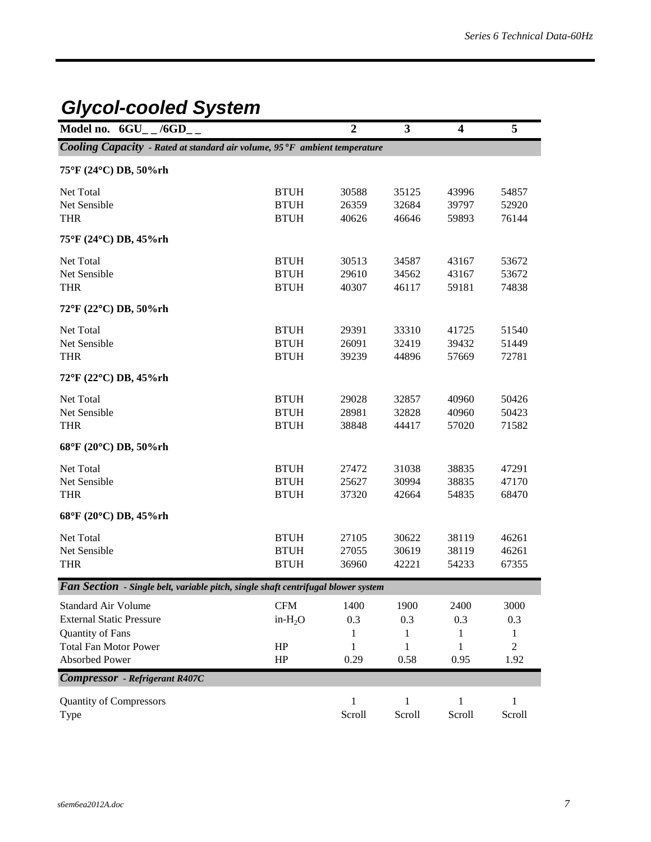# *Glycol-cooled System*

| Model no. $6GU_{-}$ /6GD <sub>-</sub>                                                    |             | $\overline{2}$ | 3            | $\overline{\mathbf{4}}$ | 5              |
|------------------------------------------------------------------------------------------|-------------|----------------|--------------|-------------------------|----------------|
| Cooling Capacity - Rated at standard air volume, 95°F ambient temperature                |             |                |              |                         |                |
| 75°F (24°C) DB, 50%rh                                                                    |             |                |              |                         |                |
| Net Total                                                                                | <b>BTUH</b> | 30588          | 35125        | 43996                   | 54857          |
| Net Sensible                                                                             | <b>BTUH</b> | 26359          | 32684        | 39797                   | 52920          |
| <b>THR</b>                                                                               | <b>BTUH</b> | 40626          | 46646        | 59893                   | 76144          |
| 75°F (24°C) DB, 45%rh                                                                    |             |                |              |                         |                |
| Net Total                                                                                | <b>BTUH</b> | 30513          | 34587        | 43167                   | 53672          |
| Net Sensible                                                                             | <b>BTUH</b> | 29610          | 34562        | 43167                   | 53672          |
| <b>THR</b>                                                                               | <b>BTUH</b> | 40307          | 46117        | 59181                   | 74838          |
| 72°F (22°C) DB, 50%rh                                                                    |             |                |              |                         |                |
| Net Total                                                                                | <b>BTUH</b> | 29391          | 33310        | 41725                   | 51540          |
| Net Sensible                                                                             | <b>BTUH</b> | 26091          | 32419        | 39432                   | 51449          |
| <b>THR</b>                                                                               | <b>BTUH</b> | 39239          | 44896        | 57669                   | 72781          |
| 72°F (22°C) DB, 45%rh                                                                    |             |                |              |                         |                |
| Net Total                                                                                | <b>BTUH</b> | 29028          | 32857        | 40960                   | 50426          |
| Net Sensible                                                                             | <b>BTUH</b> | 28981          | 32828        | 40960                   | 50423          |
| <b>THR</b>                                                                               | <b>BTUH</b> | 38848          | 44417        | 57020                   | 71582          |
| 68°F (20°C) DB, 50%rh                                                                    |             |                |              |                         |                |
| Net Total                                                                                | <b>BTUH</b> | 27472          | 31038        | 38835                   | 47291          |
| Net Sensible                                                                             | <b>BTUH</b> | 25627          | 30994        | 38835                   | 47170          |
| <b>THR</b>                                                                               | <b>BTUH</b> | 37320          | 42664        | 54835                   | 68470          |
| 68°F (20°C) DB, 45%rh                                                                    |             |                |              |                         |                |
| Net Total                                                                                | <b>BTUH</b> | 27105          | 30622        | 38119                   | 46261          |
| Net Sensible                                                                             | <b>BTUH</b> | 27055          | 30619        | 38119                   | 46261          |
| <b>THR</b>                                                                               | <b>BTUH</b> | 36960          | 42221        | 54233                   | 67355          |
| <b>Fan Section</b> - Single belt, variable pitch, single shaft centrifugal blower system |             |                |              |                         |                |
| <b>Standard Air Volume</b>                                                               | <b>CFM</b>  | 1400           | 1900         | 2400                    | 3000           |
| <b>External Static Pressure</b>                                                          | in- $H_2O$  | 0.3            | 0.3          | 0.3                     | 0.3            |
| Quantity of Fans                                                                         |             | 1              | 1            | 1                       | 1              |
| <b>Total Fan Motor Power</b>                                                             | HP          | 1              | 1            | 1                       | $\overline{c}$ |
| Absorbed Power                                                                           | HP          | 0.29           | 0.58         | 0.95                    | 1.92           |
| <b>Compressor</b> - Refrigerant R407C                                                    |             |                |              |                         |                |
| <b>Quantity of Compressors</b>                                                           |             | $\mathbf{1}$   | $\mathbf{1}$ | 1                       | $\mathbf{1}$   |
| Type                                                                                     |             | Scroll         | Scroll       | Scroll                  | Scroll         |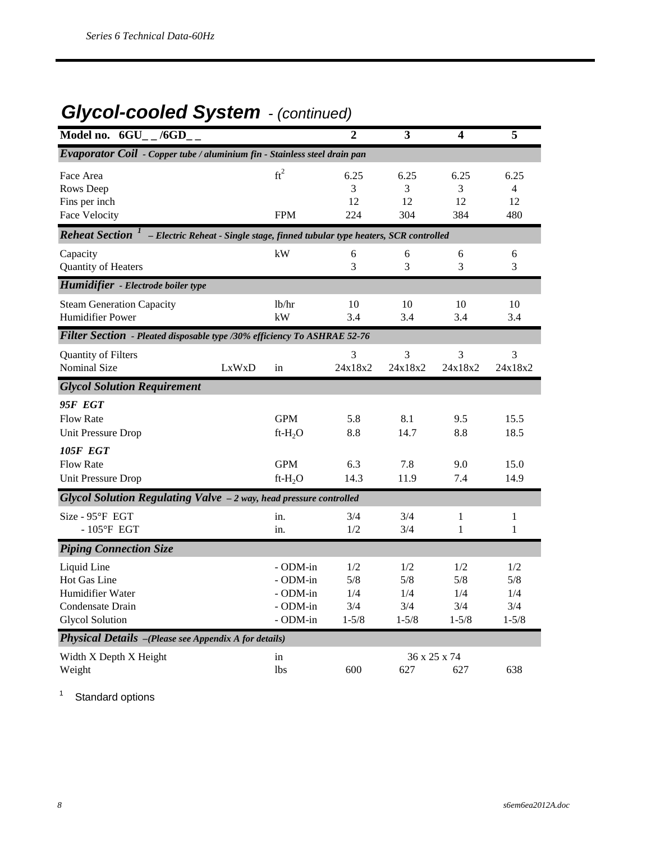## *Glycol-cooled System - (continued)*

| Model no. 6GU<br>/6GD                                                                                                 |                                                                               |                                                          | $\overline{2}$                        | 3                                     | 4                                     | 5                                     |
|-----------------------------------------------------------------------------------------------------------------------|-------------------------------------------------------------------------------|----------------------------------------------------------|---------------------------------------|---------------------------------------|---------------------------------------|---------------------------------------|
| Evaporator Coil - Copper tube / aluminium fin - Stainless steel drain pan                                             |                                                                               |                                                          |                                       |                                       |                                       |                                       |
| Face Area<br>Rows Deep<br>Fins per inch<br><b>Face Velocity</b>                                                       |                                                                               | $ft^2$<br><b>FPM</b>                                     | 6.25<br>3<br>12<br>224                | 6.25<br>3<br>12<br>304                | 6.25<br>3<br>12<br>384                | 6.25<br>$\overline{4}$<br>12<br>480   |
| <b>Reheat Section</b>                                                                                                 | - Electric Reheat - Single stage, finned tubular type heaters, SCR controlled |                                                          |                                       |                                       |                                       |                                       |
| Capacity<br>Quantity of Heaters                                                                                       |                                                                               | kW                                                       | 6<br>3                                | 6<br>3                                | 6<br>3                                | 6<br>3                                |
| Humidifier - Electrode boiler type                                                                                    |                                                                               |                                                          |                                       |                                       |                                       |                                       |
| <b>Steam Generation Capacity</b><br><b>Humidifier Power</b>                                                           |                                                                               | lb/hr<br>kW                                              | 10<br>3.4                             | 10<br>3.4                             | 10<br>3.4                             | 10<br>3.4                             |
| Filter Section - Pleated disposable type /30% efficiency To ASHRAE 52-76                                              |                                                                               |                                                          |                                       |                                       |                                       |                                       |
| Quantity of Filters<br><b>Nominal Size</b>                                                                            | LxWxD                                                                         | in                                                       | 3<br>24x18x2                          | 3<br>24x18x2                          | 3<br>24x18x2                          | 3<br>24x18x2                          |
| <b>Glycol Solution Requirement</b>                                                                                    |                                                                               |                                                          |                                       |                                       |                                       |                                       |
| <b>95F EGT</b><br><b>Flow Rate</b><br><b>Unit Pressure Drop</b><br>105F EGT<br><b>Flow Rate</b><br>Unit Pressure Drop |                                                                               | <b>GPM</b><br>ft- $H_2O$<br><b>GPM</b><br>$ft-H2O$       | 5.8<br>8.8<br>6.3<br>14.3             | 8.1<br>14.7<br>7.8<br>11.9            | 9.5<br>8.8<br>9.0<br>7.4              | 15.5<br>18.5<br>15.0<br>14.9          |
| Glycol Solution Regulating Valve - 2 way, head pressure controlled                                                    |                                                                               |                                                          |                                       |                                       |                                       |                                       |
| Size - 95°F EGT<br>$-105$ <sup>o</sup> F EGT                                                                          |                                                                               | in.<br>in.                                               | 3/4<br>1/2                            | 3/4<br>3/4                            | $\mathbf{1}$<br>1                     | $\mathbf{1}$<br>$\mathbf{1}$          |
| <b>Piping Connection Size</b>                                                                                         |                                                                               |                                                          |                                       |                                       |                                       |                                       |
| Liquid Line<br>Hot Gas Line<br>Humidifier Water<br>Condensate Drain<br><b>Glycol Solution</b>                         |                                                                               | - ODM-in<br>- ODM-in<br>- ODM-in<br>- ODM-in<br>- ODM-in | 1/2<br>5/8<br>1/4<br>3/4<br>$1 - 5/8$ | 1/2<br>5/8<br>1/4<br>3/4<br>$1 - 5/8$ | 1/2<br>5/8<br>1/4<br>3/4<br>$1 - 5/8$ | 1/2<br>5/8<br>1/4<br>3/4<br>$1 - 5/8$ |
| Physical Details -(Please see Appendix A for details)                                                                 |                                                                               |                                                          |                                       |                                       |                                       |                                       |
| Width X Depth X Height<br>Weight                                                                                      |                                                                               | in<br>1bs                                                | 600                                   | 627                                   | 36 x 25 x 74<br>627                   | 638                                   |

1 Standard options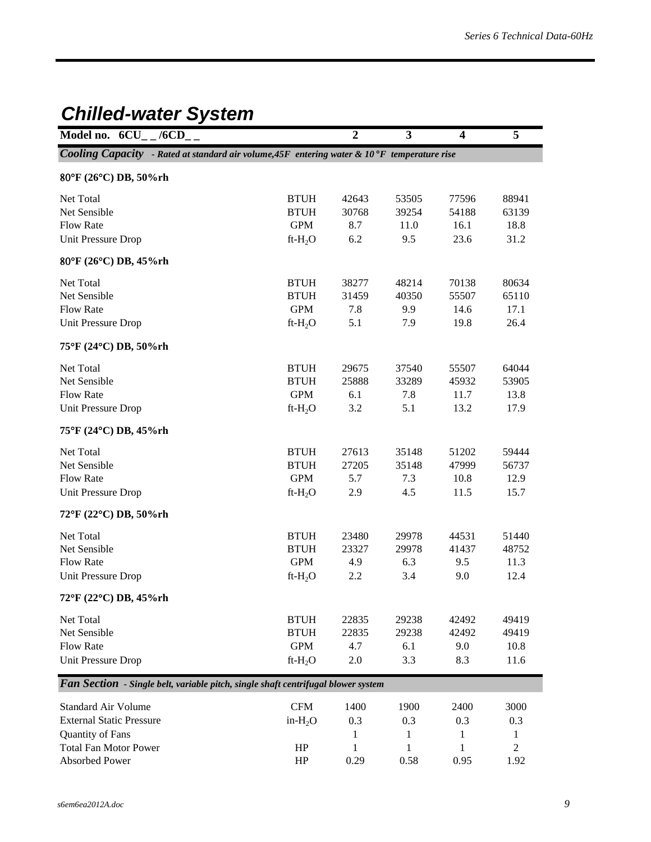### *Chilled-water System*

| Model no. $6CU_{-}$ /6CD <sub>-</sub>                                                       |             | $\overline{2}$ | $\mathbf{3}$ | $\overline{\mathbf{4}}$ | 5                |
|---------------------------------------------------------------------------------------------|-------------|----------------|--------------|-------------------------|------------------|
| Cooling Capacity - Rated at standard air volume, 45F entering water & 10°F temperature rise |             |                |              |                         |                  |
| 80°F (26°C) DB, 50%rh                                                                       |             |                |              |                         |                  |
| Net Total                                                                                   | <b>BTUH</b> | 42643          | 53505        | 77596                   | 88941            |
| Net Sensible                                                                                | <b>BTUH</b> | 30768          | 39254        | 54188                   | 63139            |
| <b>Flow Rate</b>                                                                            | <b>GPM</b>  | 8.7            | 11.0         | 16.1                    | 18.8             |
| Unit Pressure Drop                                                                          | $ft-H_2O$   | 6.2            | 9.5          | 23.6                    | 31.2             |
| 80°F (26°C) DB, 45%rh                                                                       |             |                |              |                         |                  |
| Net Total                                                                                   | <b>BTUH</b> | 38277          | 48214        | 70138                   | 80634            |
| Net Sensible                                                                                | <b>BTUH</b> | 31459          | 40350        | 55507                   | 65110            |
| <b>Flow Rate</b>                                                                            | <b>GPM</b>  | 7.8            | 9.9          | 14.6                    | 17.1             |
| Unit Pressure Drop                                                                          | $ft-H_2O$   | 5.1            | 7.9          | 19.8                    | 26.4             |
| 75°F (24°C) DB, 50%rh                                                                       |             |                |              |                         |                  |
| Net Total                                                                                   | <b>BTUH</b> | 29675          | 37540        | 55507                   | 64044            |
| Net Sensible                                                                                | <b>BTUH</b> | 25888          | 33289        | 45932                   | 53905            |
| <b>Flow Rate</b>                                                                            | <b>GPM</b>  | 6.1            | 7.8          | 11.7                    | 13.8             |
| Unit Pressure Drop                                                                          | $ft-H2O$    | 3.2            | 5.1          | 13.2                    | 17.9             |
| 75°F (24°C) DB, 45%rh                                                                       |             |                |              |                         |                  |
| Net Total                                                                                   | <b>BTUH</b> | 27613          | 35148        | 51202                   | 59444            |
| Net Sensible                                                                                | <b>BTUH</b> | 27205          | 35148        | 47999                   | 56737            |
| <b>Flow Rate</b>                                                                            | <b>GPM</b>  | 5.7            | 7.3          | 10.8                    | 12.9             |
| <b>Unit Pressure Drop</b>                                                                   | $ft-H2O$    | 2.9            | 4.5          | 11.5                    | 15.7             |
| 72°F (22°C) DB, 50%rh                                                                       |             |                |              |                         |                  |
| Net Total                                                                                   | <b>BTUH</b> | 23480          | 29978        | 44531                   | 51440            |
| Net Sensible                                                                                | <b>BTUH</b> | 23327          | 29978        | 41437                   | 48752            |
| <b>Flow Rate</b>                                                                            | <b>GPM</b>  | 4.9            | 6.3          | 9.5                     | 11.3             |
| Unit Pressure Drop                                                                          | $ft-H_2O$   | 2.2            | 3.4          | 9.0                     | 12.4             |
| 72°F (22°C) DB, 45%rh                                                                       |             |                |              |                         |                  |
| Net Total                                                                                   | <b>BTUH</b> | 22835          | 29238        | 42492                   | 49419            |
| Net Sensible                                                                                | <b>BTUH</b> | 22835          | 29238        | 42492                   | 49419            |
| <b>Flow Rate</b>                                                                            | <b>GPM</b>  | 4.7            | 6.1          | 9.0                     | 10.8             |
| <b>Unit Pressure Drop</b>                                                                   | $ft-H_2O$   | $2.0\,$        | 3.3          | 8.3                     | 11.6             |
| Fan Section - Single belt, variable pitch, single shaft centrifugal blower system           |             |                |              |                         |                  |
| <b>Standard Air Volume</b>                                                                  | <b>CFM</b>  | 1400           | 1900         | 2400                    | 3000             |
| <b>External Static Pressure</b>                                                             | in- $H_2O$  | 0.3            | 0.3          | 0.3                     | 0.3              |
| Quantity of Fans                                                                            |             | 1              | 1            | 1                       | $\mathbf{1}$     |
| <b>Total Fan Motor Power</b>                                                                | HP          | $\mathbf 1$    | 1            | 1                       | $\boldsymbol{2}$ |
| Absorbed Power                                                                              | HP          | 0.29           | 0.58         | 0.95                    | 1.92             |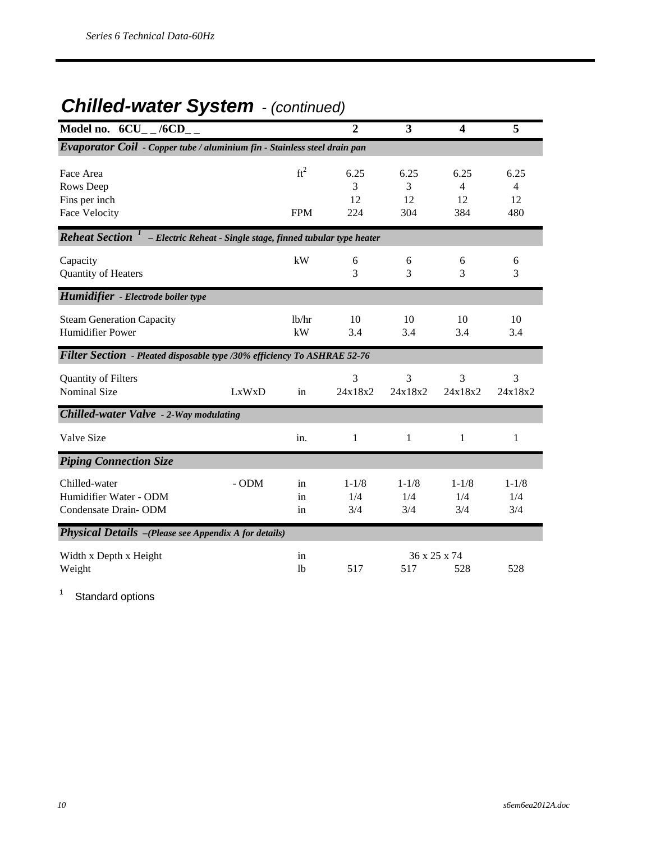### *Chilled-water System - (continued)*

| Model no. 6CU /6CD                                                        |                                                              |                          | $\overline{2}$                     | 3                       | $\overline{\mathbf{4}}$ | 5                                   |
|---------------------------------------------------------------------------|--------------------------------------------------------------|--------------------------|------------------------------------|-------------------------|-------------------------|-------------------------------------|
| Evaporator Coil - Copper tube / aluminium fin - Stainless steel drain pan |                                                              |                          |                                    |                         |                         |                                     |
| Face Area<br>Rows Deep<br>Fins per inch<br><b>Face Velocity</b>           |                                                              | $ft^2$<br><b>FPM</b>     | 6.25<br>$\mathcal{E}$<br>12<br>224 | 6.25<br>3<br>12<br>304  | 6.25<br>4<br>12<br>384  | 6.25<br>$\overline{4}$<br>12<br>480 |
| <b>Reheat Section</b>                                                     | - Electric Reheat - Single stage, finned tubular type heater |                          |                                    |                         |                         |                                     |
| Capacity<br>Quantity of Heaters                                           |                                                              | kW                       | 6<br>3                             | 6<br>3                  | 6<br>3                  | 6<br>3                              |
| Humidifier - Electrode boiler type                                        |                                                              |                          |                                    |                         |                         |                                     |
| <b>Steam Generation Capacity</b><br><b>Humidifier Power</b>               |                                                              | 1 <sub>b</sub> /hr<br>kW | 10<br>3.4                          | 10<br>3.4               | 10<br>3.4               | 10<br>3.4                           |
| Filter Section - Pleated disposable type /30% efficiency To ASHRAE 52-76  |                                                              |                          |                                    |                         |                         |                                     |
| Quantity of Filters<br><b>Nominal Size</b>                                | LxWxD                                                        | in                       | 3<br>24x18x2                       | 3<br>24x18x2            | 3<br>24x18x2            | 3<br>24x18x2                        |
| Chilled-water Valve - 2-Way modulating                                    |                                                              |                          |                                    |                         |                         |                                     |
| Valve Size                                                                |                                                              | in.                      | 1                                  | 1                       | 1                       | 1                                   |
| <b>Piping Connection Size</b>                                             |                                                              |                          |                                    |                         |                         |                                     |
| Chilled-water<br>Humidifier Water - ODM<br>Condensate Drain-ODM           | - ODM                                                        | in<br>in<br>in           | $1 - 1/8$<br>1/4<br>3/4            | $1 - 1/8$<br>1/4<br>3/4 | $1 - 1/8$<br>1/4<br>3/4 | $1 - 1/8$<br>1/4<br>3/4             |
| Physical Details -(Please see Appendix A for details)                     |                                                              |                          |                                    |                         |                         |                                     |
| Width x Depth x Height<br>Weight                                          |                                                              | in<br>1 <sub>b</sub>     | 517                                | 517                     | 36 x 25 x 74<br>528     | 528                                 |

1 Standard options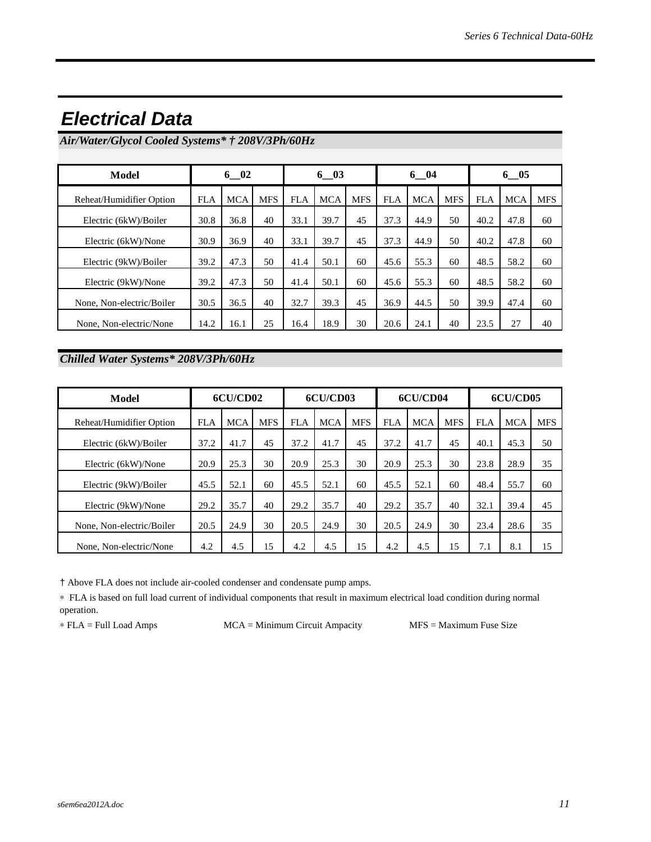| Model                     |            | $6\quad02$ |            |            | $6\quad03$ |            |            | $6 - 04$   |            |            | $6 - 05$   |            |  |
|---------------------------|------------|------------|------------|------------|------------|------------|------------|------------|------------|------------|------------|------------|--|
| Reheat/Humidifier Option  | <b>FLA</b> | <b>MCA</b> | <b>MFS</b> | <b>FLA</b> | <b>MCA</b> | <b>MFS</b> | <b>FLA</b> | <b>MCA</b> | <b>MFS</b> | <b>FLA</b> | <b>MCA</b> | <b>MFS</b> |  |
| Electric (6kW)/Boiler     | 30.8       | 36.8       | 40         | 33.1       | 39.7       | 45         | 37.3       | 44.9       | 50         | 40.2       | 47.8       | 60         |  |
| Electric (6kW)/None       | 30.9       | 36.9       | 40         | 33.1       | 39.7       | 45         | 37.3       | 44.9       | 50         | 40.2       | 47.8       | 60         |  |
| Electric (9kW)/Boiler     | 39.2       | 47.3       | 50         | 41.4       | 50.1       | 60         | 45.6       | 55.3       | 60         | 48.5       | 58.2       | 60         |  |
| Electric (9kW)/None       | 39.2       | 47.3       | 50         | 41.4       | 50.1       | 60         | 45.6       | 55.3       | 60         | 48.5       | 58.2       | 60         |  |
| None, Non-electric/Boiler | 30.5       | 36.5       | 40         | 32.7       | 39.3       | 45         | 36.9       | 44.5       | 50         | 39.9       | 47.4       | 60         |  |
| None, Non-electric/None   | 14.2       | 16.1       | 25         | 16.4       | 18.9       | 30         | 20.6       | 24.1       | 40         | 23.5       | 27         | 40         |  |

### *Electrical Data*

*Air/Water/Glycol Cooled Systems\* † 208V/3Ph/60Hz*

### *Chilled Water Systems\* 208V/3Ph/60Hz*

| Model                     |            | 6CU/CD02   |            | 6CU/CD03<br>6CU/CD04 |            |            |            | 6CU/CD05   |            |            |            |            |
|---------------------------|------------|------------|------------|----------------------|------------|------------|------------|------------|------------|------------|------------|------------|
| Reheat/Humidifier Option  | <b>FLA</b> | <b>MCA</b> | <b>MFS</b> | <b>FLA</b>           | <b>MCA</b> | <b>MFS</b> | <b>FLA</b> | <b>MCA</b> | <b>MFS</b> | <b>FLA</b> | <b>MCA</b> | <b>MFS</b> |
| Electric (6kW)/Boiler     | 37.2       | 41.7       | 45         | 37.2                 | 41.7       | 45         | 37.2       | 41.7       | 45         | 40.1       | 45.3       | 50         |
| Electric (6kW)/None       | 20.9       | 25.3       | 30         | 20.9                 | 25.3       | 30         | 20.9       | 25.3       | 30         | 23.8       | 28.9       | 35         |
| Electric (9kW)/Boiler     | 45.5       | 52.1       | 60         | 45.5                 | 52.1       | 60         | 45.5       | 52.1       | 60         | 48.4       | 55.7       | 60         |
| Electric (9kW)/None       | 29.2       | 35.7       | 40         | 29.2                 | 35.7       | 40         | 29.2       | 35.7       | 40         | 32.1       | 39.4       | 45         |
| None, Non-electric/Boiler | 20.5       | 24.9       | 30         | 20.5                 | 24.9       | 30         | 20.5       | 24.9       | 30         | 23.4       | 28.6       | 35         |
| None, Non-electric/None   | 4.2        | 4.5        | 15         | 4.2                  | 4.5        | 15         | 4.2        | 4.5        | 15         | 7.1        | 8.1        | 15         |

† Above FLA does not include air-cooled condenser and condensate pump amps.

∗ FLA is based on full load current of individual components that result in maximum electrical load condition during normal operation.

∗ FLA = Full Load Amps MCA = Minimum Circuit Ampacity MFS = Maximum Fuse Size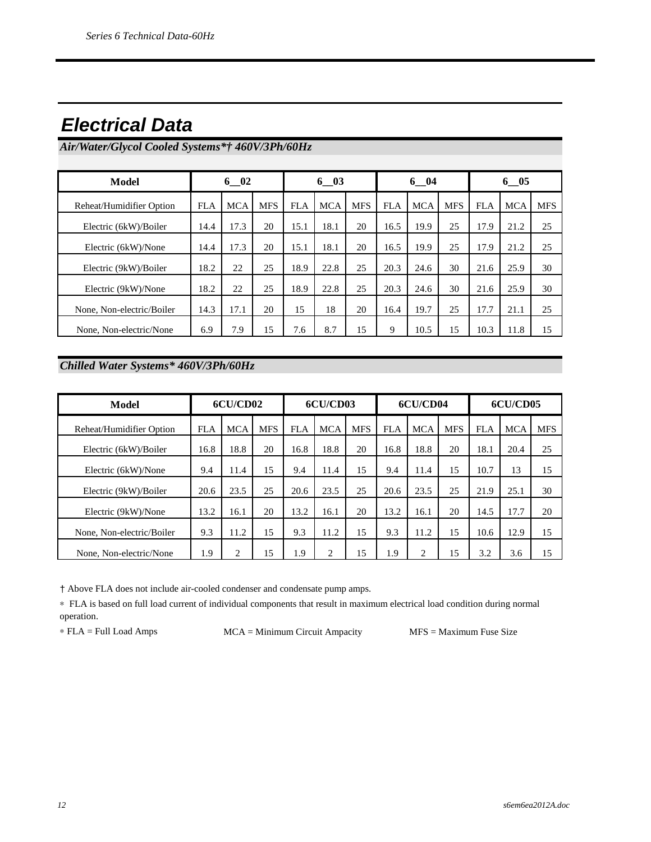### *Electrical Data*

*Air/Water/Glycol Cooled Systems\*† 460V/3Ph/60Hz*

| Model                     |            | $6 - 02$   |            | $6 - 03$   |            |            | $6 - 04$   |            |            | $6 - 05$   |            |            |
|---------------------------|------------|------------|------------|------------|------------|------------|------------|------------|------------|------------|------------|------------|
| Reheat/Humidifier Option  | <b>FLA</b> | <b>MCA</b> | <b>MFS</b> | <b>FLA</b> | <b>MCA</b> | <b>MFS</b> | <b>FLA</b> | <b>MCA</b> | <b>MFS</b> | <b>FLA</b> | <b>MCA</b> | <b>MFS</b> |
| Electric (6kW)/Boiler     | 14.4       | 17.3       | 20         | 15.1       | 18.1       | 20         | 16.5       | 19.9       | 25         | 17.9       | 21.2       | 25         |
| Electric (6kW)/None       | 14.4       | 17.3       | 20         | 15.1       | 18.1       | 20         | 16.5       | 19.9       | 25         | 17.9       | 21.2       | 25         |
| Electric (9kW)/Boiler     | 18.2       | 22         | 25         | 18.9       | 22.8       | 25         | 20.3       | 24.6       | 30         | 21.6       | 25.9       | 30         |
| Electric (9kW)/None       | 18.2       | 22         | 25         | 18.9       | 22.8       | 25         | 20.3       | 24.6       | 30         | 21.6       | 25.9       | 30         |
| None, Non-electric/Boiler | 14.3       | 17.1       | 20         | 15         | 18         | 20         | 16.4       | 19.7       | 25         | 17.7       | 21.1       | 25         |
| None, Non-electric/None   | 6.9        | 7.9        | 15         | 7.6        | 8.7        | 15         | 9          | 10.5       | 15         | 10.3       | 11.8       | 15         |

### *Chilled Water Systems\* 460V/3Ph/60Hz*

| Model                     | 6CU/CD02   |            |            | 6CU/CD03   |            |            | 6CU/CD04   |            |            | 6CU/CD05   |            |            |
|---------------------------|------------|------------|------------|------------|------------|------------|------------|------------|------------|------------|------------|------------|
| Reheat/Humidifier Option  | <b>FLA</b> | <b>MCA</b> | <b>MFS</b> | <b>FLA</b> | <b>MCA</b> | <b>MFS</b> | <b>FLA</b> | <b>MCA</b> | <b>MFS</b> | <b>FLA</b> | <b>MCA</b> | <b>MFS</b> |
| Electric (6kW)/Boiler     | 16.8       | 18.8       | 20         | 16.8       | 18.8       | 20         | 16.8       | 18.8       | 20         | 18.1       | 20.4       | 25         |
| Electric (6kW)/None       | 9.4        | 11.4       | 15         | 9.4        | 11.4       | 15         | 9.4        | 11.4       | 15         | 10.7       | 13         | 15         |
| Electric (9kW)/Boiler     | 20.6       | 23.5       | 25         | 20.6       | 23.5       | 25         | 20.6       | 23.5       | 25         | 21.9       | 25.1       | 30         |
| Electric (9kW)/None       | 13.2       | 16.1       | 20         | 13.2       | 16.1       | 20         | 13.2       | 16.1       | 20         | 14.5       | 17.7       | 20         |
| None, Non-electric/Boiler | 9.3        | 11.2       | 15         | 9.3        | 11.2       | 15         | 9.3        | 11.2       | 15         | 10.6       | 12.9       | 15         |
| None, Non-electric/None   | 1.9        | 2          | 15         | 1.9        | 2          | 15         | 1.9        | 2          | 15         | 3.2        | 3.6        | 15         |

† Above FLA does not include air-cooled condenser and condensate pump amps.

∗ FLA is based on full load current of individual components that result in maximum electrical load condition during normal operation.

∗ FLA = Full Load Amps MCA = Minimum Circuit Ampacity MFS = Maximum Fuse Size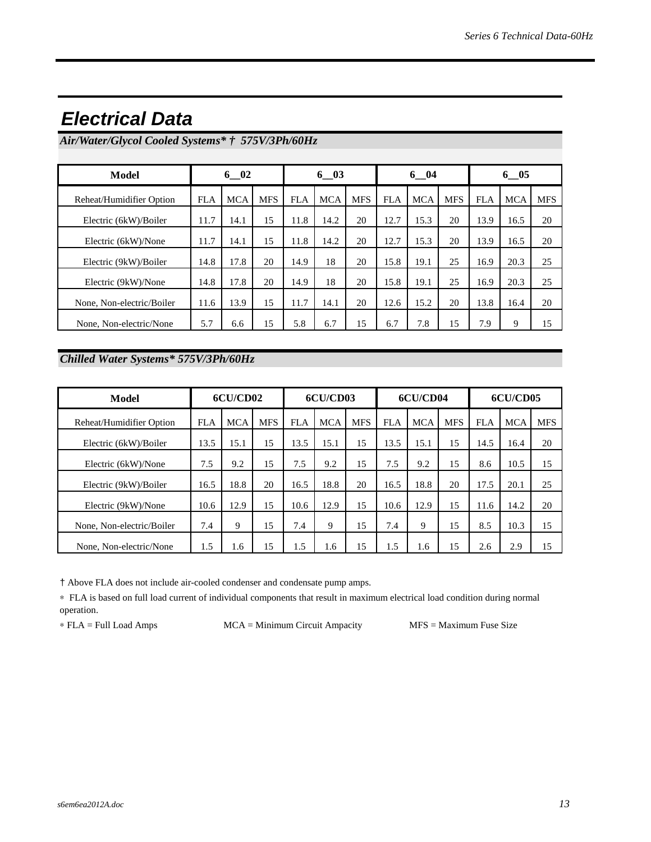| Model                     | $6\quad02$ |            | $6\quad03$ |            |            | $6 - 04$   |            |            | $6 - 05$   |            |            |            |
|---------------------------|------------|------------|------------|------------|------------|------------|------------|------------|------------|------------|------------|------------|
| Reheat/Humidifier Option  | <b>FLA</b> | <b>MCA</b> | <b>MFS</b> | <b>FLA</b> | <b>MCA</b> | <b>MFS</b> | <b>FLA</b> | <b>MCA</b> | <b>MFS</b> | <b>FLA</b> | <b>MCA</b> | <b>MFS</b> |
| Electric (6kW)/Boiler     | 11.7       | 14.1       | 15         | 11.8       | 14.2       | 20         | 12.7       | 15.3       | 20         | 13.9       | 16.5       | 20         |
| Electric (6kW)/None       | 11.7       | 14.1       | 15         | 11.8       | 14.2       | 20         | 12.7       | 15.3       | 20         | 13.9       | 16.5       | 20         |
| Electric (9kW)/Boiler     | 14.8       | 17.8       | 20         | 14.9       | 18         | 20         | 15.8       | 19.1       | 25         | 16.9       | 20.3       | 25         |
| Electric (9kW)/None       | 14.8       | 17.8       | 20         | 14.9       | 18         | 20         | 15.8       | 19.1       | 25         | 16.9       | 20.3       | 25         |
| None, Non-electric/Boiler | 11.6       | 13.9       | 15         | 11.7       | 14.1       | 20         | 12.6       | 15.2       | 20         | 13.8       | 16.4       | 20         |
| None, Non-electric/None   | 5.7        | 6.6        | 15         | 5.8        | 6.7        | 15         | 6.7        | 7.8        | 15         | 7.9        | 9          | 15         |

### *Electrical Data*

*Air/Water/Glycol Cooled Systems\* † 575V/3Ph/60Hz*

*Chilled Water Systems\* 575V/3Ph/60Hz*

| Model                     | 6CU/CD02   |            |            | 6CU/CD03   |            |            | 6CU/CD04   |            |            | 6CU/CD05   |            |            |
|---------------------------|------------|------------|------------|------------|------------|------------|------------|------------|------------|------------|------------|------------|
| Reheat/Humidifier Option  | <b>FLA</b> | <b>MCA</b> | <b>MFS</b> | <b>FLA</b> | <b>MCA</b> | <b>MFS</b> | <b>FLA</b> | <b>MCA</b> | <b>MFS</b> | <b>FLA</b> | <b>MCA</b> | <b>MFS</b> |
| Electric (6kW)/Boiler     | 13.5       | 15.1       | 15         | 13.5       | 15.1       | 15         | 13.5       | 15.1       | 15         | 14.5       | 16.4       | 20         |
| Electric (6kW)/None       | 7.5        | 9.2        | 15         | 7.5        | 9.2        | 15         | 7.5        | 9.2        | 15         | 8.6        | 10.5       | 15         |
| Electric (9kW)/Boiler     | 16.5       | 18.8       | 20         | 16.5       | 18.8       | 20         | 16.5       | 18.8       | 20         | 17.5       | 20.1       | 25         |
| Electric (9kW)/None       | 10.6       | 12.9       | 15         | 10.6       | 12.9       | 15         | 10.6       | 12.9       | 15         | 11.6       | 14.2       | 20         |
| None, Non-electric/Boiler | 7.4        | 9          | 15         | 7.4        | 9          | 15         | 7.4        | 9          | 15         | 8.5        | 10.3       | 15         |
| None, Non-electric/None   | 1.5        | 1.6        | 15         | 1.5        | 1.6        | 15         | 1.5        | 1.6        | 15         | 2.6        | 2.9        | 15         |

† Above FLA does not include air-cooled condenser and condensate pump amps.

∗ FLA is based on full load current of individual components that result in maximum electrical load condition during normal operation.

∗ FLA = Full Load Amps MCA = Minimum Circuit Ampacity MFS = Maximum Fuse Size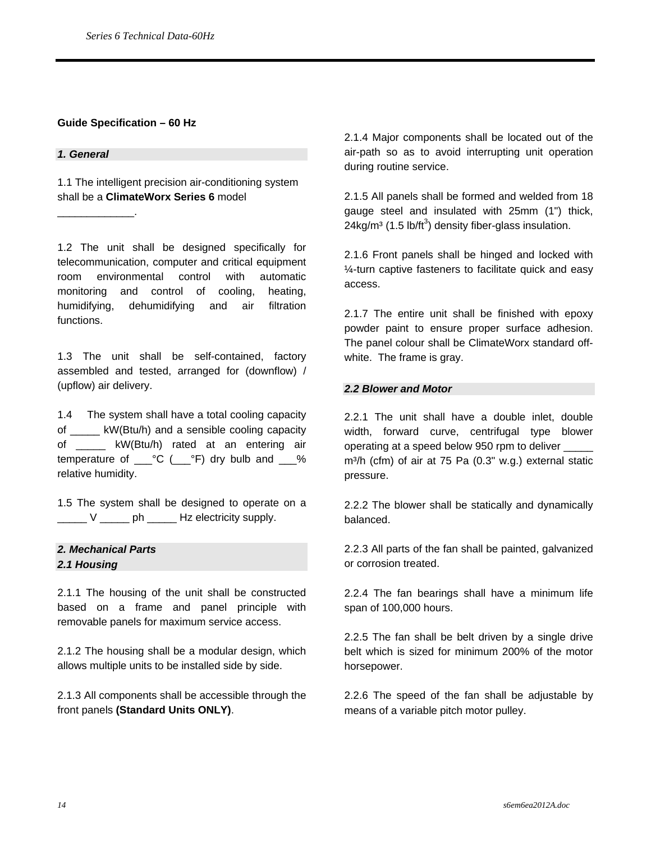#### **Guide Specification – 60 Hz**

#### *1. General*

\_\_\_\_\_\_\_\_\_\_\_\_\_.

1.1 The intelligent precision air-conditioning system shall be a **ClimateWorx Series 6** model

1.2 The unit shall be designed specifically for telecommunication, computer and critical equipment room environmental control with automatic monitoring and control of cooling, heating, humidifying, dehumidifying and air filtration functions.

1.3 The unit shall be self-contained, factory assembled and tested, arranged for (downflow) / (upflow) air delivery.

1.4 The system shall have a total cooling capacity of \_\_\_\_\_ kW(Btu/h) and a sensible cooling capacity of \_\_\_\_\_ kW(Btu/h) rated at an entering air temperature of  $C^{\circ}C$  ( $C^{\circ}F$ ) dry bulb and  $C^{\circ}$ relative humidity.

1.5 The system shall be designed to operate on a \_\_\_\_\_ V \_\_\_\_\_ ph \_\_\_\_\_ Hz electricity supply.

#### *2. Mechanical Parts 2.1 Housing*

2.1.1 The housing of the unit shall be constructed based on a frame and panel principle with removable panels for maximum service access.

2.1.2 The housing shall be a modular design, which allows multiple units to be installed side by side.

2.1.3 All components shall be accessible through the front panels **(Standard Units ONLY)**.

2.1.4 Major components shall be located out of the air-path so as to avoid interrupting unit operation during routine service.

2.1.5 All panels shall be formed and welded from 18 gauge steel and insulated with 25mm (1") thick,  $24$ kg/m $3$  (1.5 lb/ft $3$ ) density fiber-glass insulation.

2.1.6 Front panels shall be hinged and locked with ¼-turn captive fasteners to facilitate quick and easy access.

2.1.7 The entire unit shall be finished with epoxy powder paint to ensure proper surface adhesion. The panel colour shall be ClimateWorx standard offwhite. The frame is gray.

#### *2.2 Blower and Motor*

2.2.1 The unit shall have a double inlet, double width, forward curve, centrifugal type blower operating at a speed below 950 rpm to deliver \_\_\_\_\_ m<sup>3</sup>/h (cfm) of air at 75 Pa (0.3" w.g.) external static pressure.

2.2.2 The blower shall be statically and dynamically balanced.

2.2.3 All parts of the fan shall be painted, galvanized or corrosion treated.

2.2.4 The fan bearings shall have a minimum life span of 100,000 hours.

2.2.5 The fan shall be belt driven by a single drive belt which is sized for minimum 200% of the motor horsepower.

2.2.6 The speed of the fan shall be adjustable by means of a variable pitch motor pulley.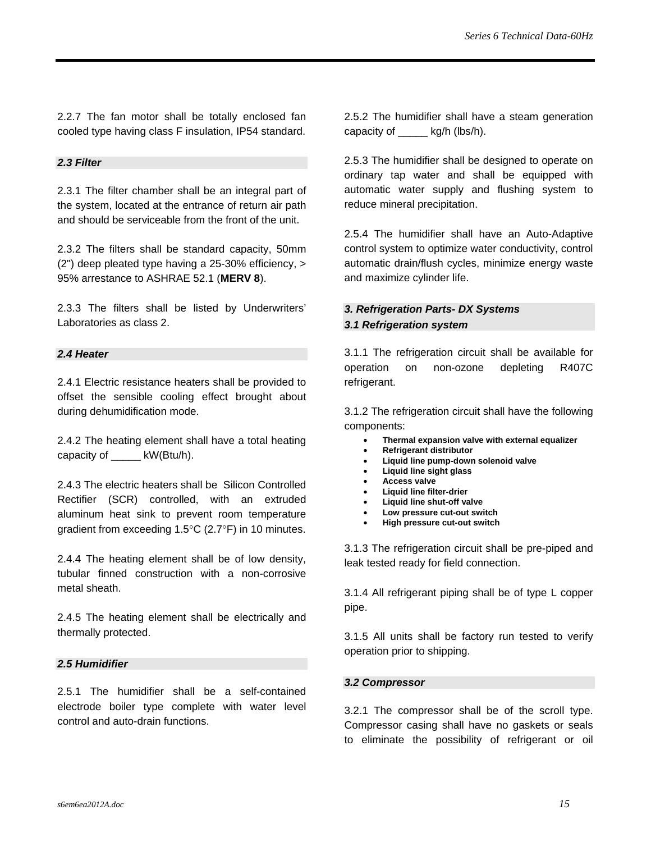2.2.7 The fan motor shall be totally enclosed fan cooled type having class F insulation, IP54 standard.

#### *2.3 Filter*

2.3.1 The filter chamber shall be an integral part of the system, located at the entrance of return air path and should be serviceable from the front of the unit.

2.3.2 The filters shall be standard capacity, 50mm (2") deep pleated type having a 25-30% efficiency, > 95% arrestance to ASHRAE 52.1 (**MERV 8**).

2.3.3 The filters shall be listed by Underwriters' Laboratories as class 2.

#### *2.4 Heater*

2.4.1 Electric resistance heaters shall be provided to offset the sensible cooling effect brought about during dehumidification mode.

2.4.2 The heating element shall have a total heating capacity of \_\_\_\_\_ kW(Btu/h).

2.4.3 The electric heaters shall be Silicon Controlled Rectifier (SCR) controlled, with an extruded aluminum heat sink to prevent room temperature gradient from exceeding 1.5°C (2.7°F) in 10 minutes.

2.4.4 The heating element shall be of low density, tubular finned construction with a non-corrosive metal sheath.

2.4.5 The heating element shall be electrically and thermally protected.

#### *2.5 Humidifier*

2.5.1 The humidifier shall be a self-contained electrode boiler type complete with water level control and auto-drain functions.

2.5.2 The humidifier shall have a steam generation capacity of kg/h (lbs/h).

2.5.3 The humidifier shall be designed to operate on ordinary tap water and shall be equipped with automatic water supply and flushing system to reduce mineral precipitation.

2.5.4 The humidifier shall have an Auto-Adaptive control system to optimize water conductivity, control automatic drain/flush cycles, minimize energy waste and maximize cylinder life.

#### *3. Refrigeration Parts- DX Systems 3.1 Refrigeration system*

3.1.1 The refrigeration circuit shall be available for operation on non-ozone depleting R407C refrigerant.

3.1.2 The refrigeration circuit shall have the following components:

- **Thermal expansion valve with external equalizer**
- **Refrigerant distributor**
- **Liquid line pump-down solenoid valve**
- **Liquid line sight glass**
- **Access valve**
- **Liquid line filter-drier**
- **Liquid line shut-off valve**
- **Low pressure cut-out switch**
- **High pressure cut-out switch**

3.1.3 The refrigeration circuit shall be pre-piped and leak tested ready for field connection.

3.1.4 All refrigerant piping shall be of type L copper pipe.

3.1.5 All units shall be factory run tested to verify operation prior to shipping.

#### *3.2 Compressor*

3.2.1 The compressor shall be of the scroll type. Compressor casing shall have no gaskets or seals to eliminate the possibility of refrigerant or oil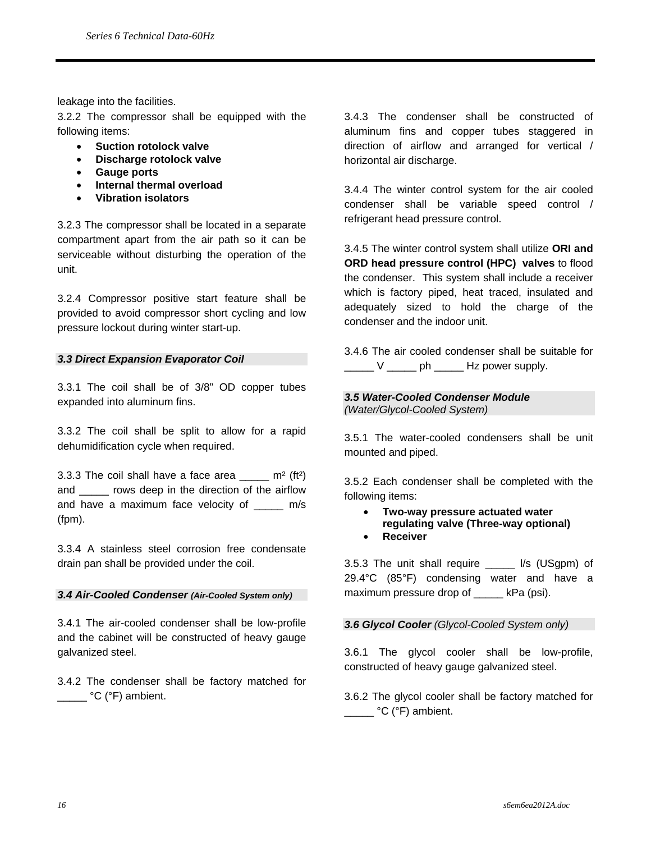leakage into the facilities.

3.2.2 The compressor shall be equipped with the following items:

- **Suction rotolock valve**
- **Discharge rotolock valve**
- **Gauge ports**
- **Internal thermal overload**
- **Vibration isolators**

3.2.3 The compressor shall be located in a separate compartment apart from the air path so it can be serviceable without disturbing the operation of the unit.

3.2.4 Compressor positive start feature shall be provided to avoid compressor short cycling and low pressure lockout during winter start-up.

#### *3.3 Direct Expansion Evaporator Coil*

3.3.1 The coil shall be of 3/8" OD copper tubes expanded into aluminum fins.

3.3.2 The coil shall be split to allow for a rapid dehumidification cycle when required.

3.3.3 The coil shall have a face area  $m^2$  (ft<sup>2</sup>) and \_\_\_\_\_ rows deep in the direction of the airflow and have a maximum face velocity of \_\_\_\_\_ m/s (fpm).

3.3.4 A stainless steel corrosion free condensate drain pan shall be provided under the coil.

#### *3.4 Air-Cooled Condenser (Air-Cooled System only)*

3.4.1 The air-cooled condenser shall be low-profile and the cabinet will be constructed of heavy gauge galvanized steel.

3.4.2 The condenser shall be factory matched for C (°F) ambient.

3.4.3 The condenser shall be constructed of aluminum fins and copper tubes staggered in direction of airflow and arranged for vertical / horizontal air discharge.

3.4.4 The winter control system for the air cooled condenser shall be variable speed control / refrigerant head pressure control.

3.4.5 The winter control system shall utilize **ORI and ORD head pressure control (HPC) valves** to flood the condenser. This system shall include a receiver which is factory piped, heat traced, insulated and adequately sized to hold the charge of the condenser and the indoor unit.

3.4.6 The air cooled condenser shall be suitable for  $V \sim$  ph  $V \sim$  Hz power supply.

#### *3.5 Water-Cooled Condenser Module (Water/Glycol-Cooled System)*

3.5.1 The water-cooled condensers shall be unit mounted and piped.

3.5.2 Each condenser shall be completed with the following items:

- **Two-way pressure actuated water regulating valve (Three-way optional)**
- **Receiver**

3.5.3 The unit shall require \_\_\_\_\_ l/s (USgpm) of 29.4°C (85°F) condensing water and have a maximum pressure drop of kPa (psi).

#### *3.6 Glycol Cooler (Glycol-Cooled System only)*

3.6.1 The glycol cooler shall be low-profile, constructed of heavy gauge galvanized steel.

3.6.2 The glycol cooler shall be factory matched for C (°F) ambient.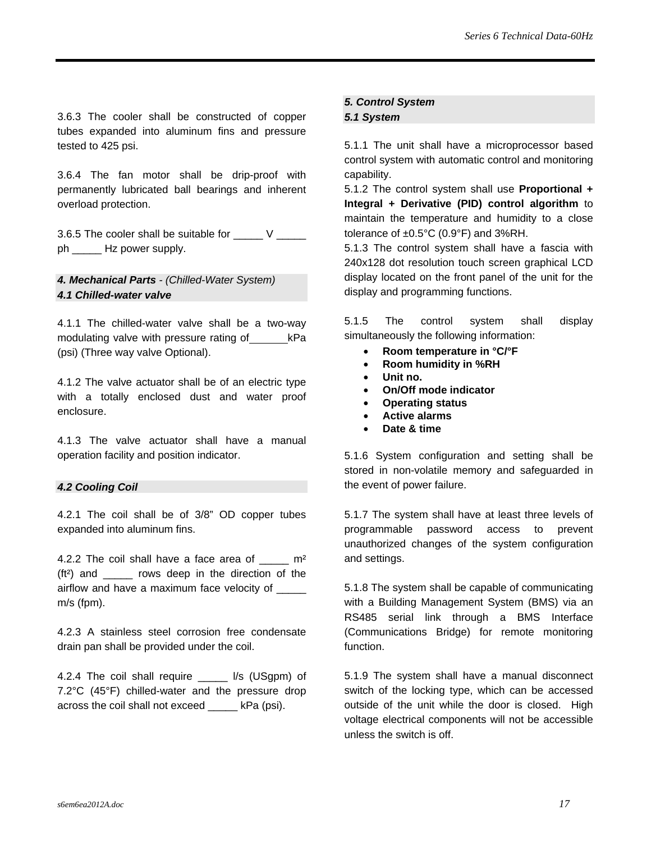3.6.3 The cooler shall be constructed of copper tubes expanded into aluminum fins and pressure tested to 425 psi.

3.6.4 The fan motor shall be drip-proof with permanently lubricated ball bearings and inherent overload protection.

3.6.5 The cooler shall be suitable for \_\_\_\_\_ V \_\_\_\_\_ ph \_\_\_\_\_\_\_ Hz power supply.

#### *4. Mechanical Parts - (Chilled-Water System) 4.1 Chilled-water valve*

4.1.1 The chilled-water valve shall be a two-way modulating valve with pressure rating of kPa (psi) (Three way valve Optional).

4.1.2 The valve actuator shall be of an electric type with a totally enclosed dust and water proof enclosure.

4.1.3 The valve actuator shall have a manual operation facility and position indicator.

#### *4.2 Cooling Coil*

4.2.1 The coil shall be of 3/8" OD copper tubes expanded into aluminum fins.

4.2.2 The coil shall have a face area of  $m<sup>2</sup>$ (ft²) and \_\_\_\_\_ rows deep in the direction of the airflow and have a maximum face velocity of m/s (fpm).

4.2.3 A stainless steel corrosion free condensate drain pan shall be provided under the coil.

4.2.4 The coil shall require \_\_\_\_\_ l/s (USgpm) of 7.2°C (45°F) chilled-water and the pressure drop across the coil shall not exceed \_\_\_\_\_ kPa (psi).

#### *5. Control System*

#### *5.1 System*

5.1.1 The unit shall have a microprocessor based control system with automatic control and monitoring capability.

5.1.2 The control system shall use **Proportional + Integral + Derivative (PID) control algorithm** to maintain the temperature and humidity to a close tolerance of  $\pm 0.5^{\circ}$ C (0.9°F) and 3%RH.

5.1.3 The control system shall have a fascia with 240x128 dot resolution touch screen graphical LCD display located on the front panel of the unit for the display and programming functions.

5.1.5 The control system shall display simultaneously the following information:

- **Room temperature in °C/°F**
- **Room humidity in %RH**
- **Unit no.**
- **On/Off mode indicator**
- **Operating status**
- **Active alarms**
- **Date & time**

5.1.6 System configuration and setting shall be stored in non-volatile memory and safeguarded in the event of power failure.

5.1.7 The system shall have at least three levels of programmable password access to prevent unauthorized changes of the system configuration and settings.

5.1.8 The system shall be capable of communicating with a Building Management System (BMS) via an RS485 serial link through a BMS Interface (Communications Bridge) for remote monitoring function.

5.1.9 The system shall have a manual disconnect switch of the locking type, which can be accessed outside of the unit while the door is closed. High voltage electrical components will not be accessible unless the switch is off.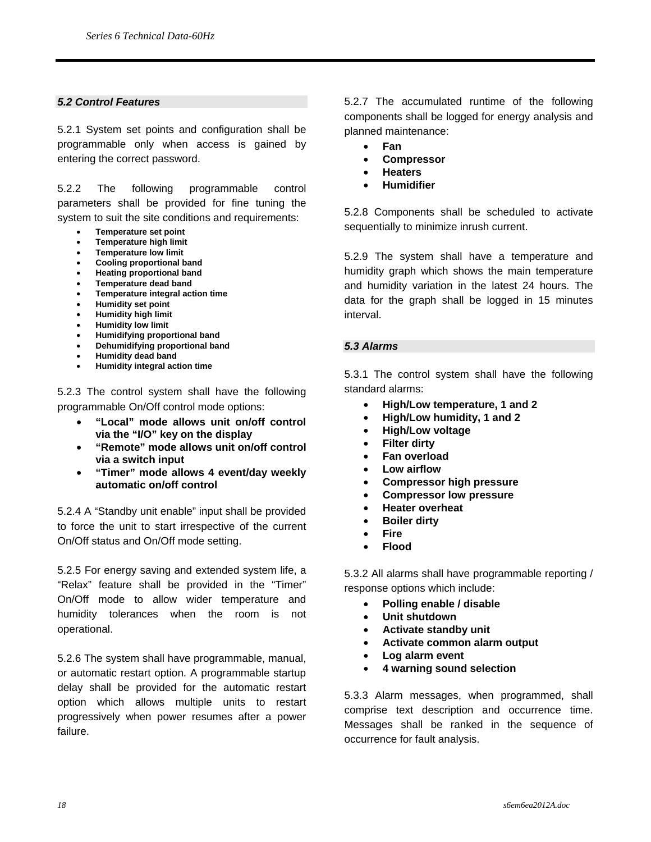#### *5.2 Control Features*

5.2.1 System set points and configuration shall be programmable only when access is gained by entering the correct password.

5.2.2 The following programmable control parameters shall be provided for fine tuning the system to suit the site conditions and requirements:

- **Temperature set point**
- **Temperature high limit**
- **Temperature low limit**
- **Cooling proportional band**
- **Heating proportional band**
- **Temperature dead band**
- **Temperature integral action time**
- **Humidity set point**
- **Humidity high limit**
- **Humidity low limit**
- **Humidifying proportional band**
- **Dehumidifying proportional band**
- **Humidity dead band**
- **Humidity integral action time**

5.2.3 The control system shall have the following programmable On/Off control mode options:

- **"Local" mode allows unit on/off control via the "I/O" key on the display**
- **"Remote" mode allows unit on/off control via a switch input**
- **"Timer" mode allows 4 event/day weekly automatic on/off control**

5.2.4 A "Standby unit enable" input shall be provided to force the unit to start irrespective of the current On/Off status and On/Off mode setting.

5.2.5 For energy saving and extended system life, a "Relax" feature shall be provided in the "Timer" On/Off mode to allow wider temperature and humidity tolerances when the room is not operational.

5.2.6 The system shall have programmable, manual, or automatic restart option. A programmable startup delay shall be provided for the automatic restart option which allows multiple units to restart progressively when power resumes after a power failure.

5.2.7 The accumulated runtime of the following components shall be logged for energy analysis and planned maintenance:

- **Fan**
- **Compressor**
- **Heaters**
- **Humidifier**

5.2.8 Components shall be scheduled to activate sequentially to minimize inrush current.

5.2.9 The system shall have a temperature and humidity graph which shows the main temperature and humidity variation in the latest 24 hours. The data for the graph shall be logged in 15 minutes interval.

#### *5.3 Alarms*

5.3.1 The control system shall have the following standard alarms:

- **High/Low temperature, 1 and 2**
- **High/Low humidity, 1 and 2**
- **High/Low voltage**
- **Filter dirty**
- **Fan overload**
- **Low airflow**
- **Compressor high pressure**
- **Compressor low pressure**
- **Heater overheat**
- **Boiler dirty**
- **Fire**
- **Flood**

5.3.2 All alarms shall have programmable reporting / response options which include:

- **Polling enable / disable**
- **Unit shutdown**
- **Activate standby unit**
- **Activate common alarm output**
- **Log alarm event**
- **4 warning sound selection**

5.3.3 Alarm messages, when programmed, shall comprise text description and occurrence time. Messages shall be ranked in the sequence of occurrence for fault analysis.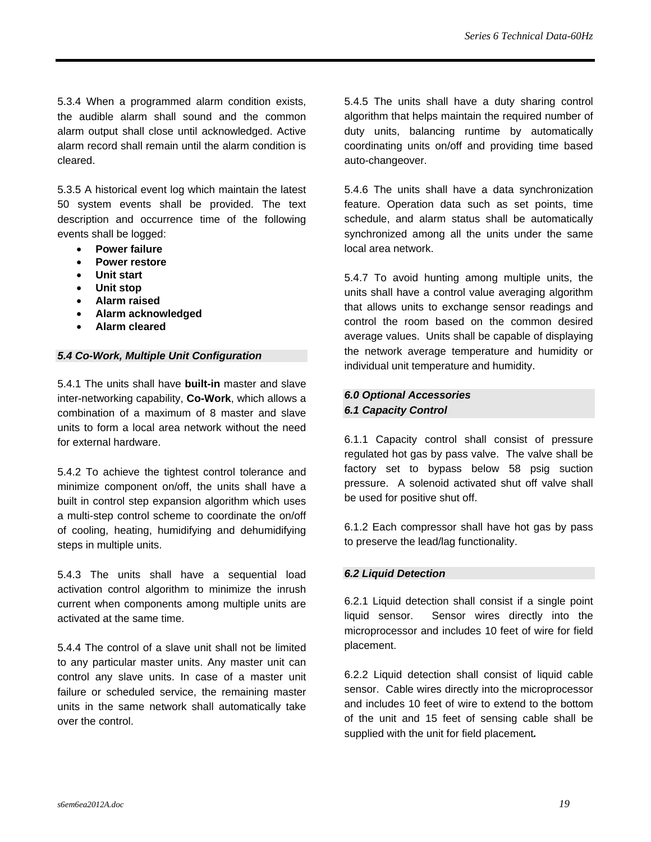5.3.4 When a programmed alarm condition exists, the audible alarm shall sound and the common alarm output shall close until acknowledged. Active alarm record shall remain until the alarm condition is cleared.

5.3.5 A historical event log which maintain the latest 50 system events shall be provided. The text description and occurrence time of the following events shall be logged:

- **Power failure**
- **Power restore**
- **Unit start**
- **Unit stop**
- **Alarm raised**
- **Alarm acknowledged**
- **Alarm cleared**

#### *5.4 Co-Work, Multiple Unit Configuration*

5.4.1 The units shall have **built-in** master and slave inter-networking capability, **Co-Work**, which allows a combination of a maximum of 8 master and slave units to form a local area network without the need for external hardware.

5.4.2 To achieve the tightest control tolerance and minimize component on/off, the units shall have a built in control step expansion algorithm which uses a multi-step control scheme to coordinate the on/off of cooling, heating, humidifying and dehumidifying steps in multiple units.

5.4.3 The units shall have a sequential load activation control algorithm to minimize the inrush current when components among multiple units are activated at the same time.

5.4.4 The control of a slave unit shall not be limited to any particular master units. Any master unit can control any slave units. In case of a master unit failure or scheduled service, the remaining master units in the same network shall automatically take over the control.

5.4.5 The units shall have a duty sharing control algorithm that helps maintain the required number of duty units, balancing runtime by automatically coordinating units on/off and providing time based auto-changeover.

5.4.6 The units shall have a data synchronization feature. Operation data such as set points, time schedule, and alarm status shall be automatically synchronized among all the units under the same local area network.

5.4.7 To avoid hunting among multiple units, the units shall have a control value averaging algorithm that allows units to exchange sensor readings and control the room based on the common desired average values. Units shall be capable of displaying the network average temperature and humidity or individual unit temperature and humidity.

#### *6.0 Optional Accessories 6.1 Capacity Control*

6.1.1 Capacity control shall consist of pressure regulated hot gas by pass valve. The valve shall be factory set to bypass below 58 psig suction pressure. A solenoid activated shut off valve shall be used for positive shut off.

6.1.2 Each compressor shall have hot gas by pass to preserve the lead/lag functionality.

#### *6.2 Liquid Detection*

6.2.1 Liquid detection shall consist if a single point liquid sensor. Sensor wires directly into the microprocessor and includes 10 feet of wire for field placement.

6.2.2 Liquid detection shall consist of liquid cable sensor. Cable wires directly into the microprocessor and includes 10 feet of wire to extend to the bottom of the unit and 15 feet of sensing cable shall be supplied with the unit for field placement*.*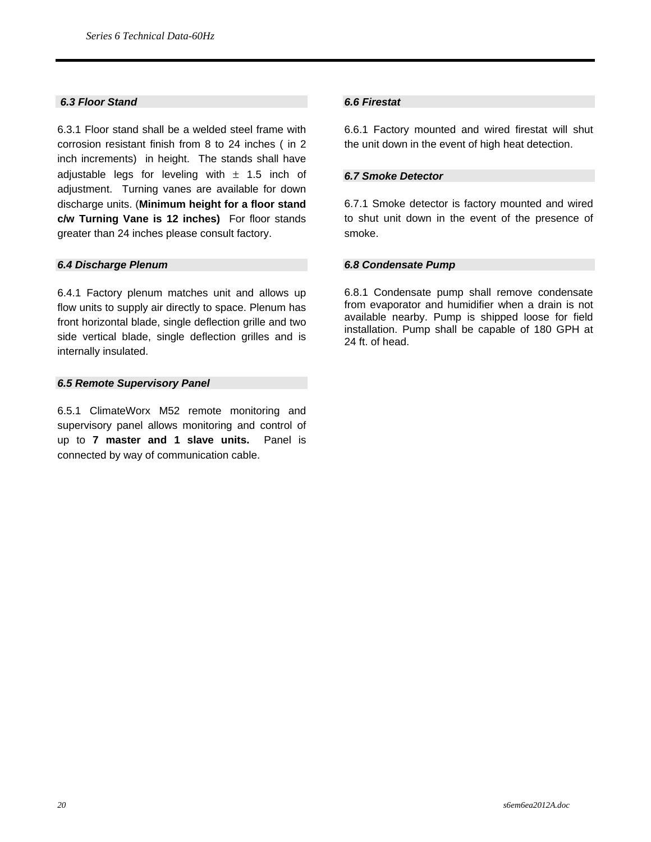#### *6.3 Floor Stand*

6.3.1 Floor stand shall be a welded steel frame with corrosion resistant finish from 8 to 24 inches ( in 2 inch increments) in height. The stands shall have adjustable legs for leveling with  $\pm$  1.5 inch of adjustment. Turning vanes are available for down discharge units. (**Minimum height for a floor stand c/w Turning Vane is 12 inches)** For floor stands greater than 24 inches please consult factory.

#### *6.4 Discharge Plenum*

6.4.1 Factory plenum matches unit and allows up flow units to supply air directly to space. Plenum has front horizontal blade, single deflection grille and two side vertical blade, single deflection grilles and is internally insulated.

#### *6.5 Remote Supervisory Panel*

6.5.1 ClimateWorx M52 remote monitoring and supervisory panel allows monitoring and control of up to **7 master and 1 slave units.** Panel is connected by way of communication cable.

#### *6.6 Firestat*

6.6.1 Factory mounted and wired firestat will shut the unit down in the event of high heat detection.

#### *6.7 Smoke Detector*

6.7.1 Smoke detector is factory mounted and wired to shut unit down in the event of the presence of smoke.

#### *6.8 Condensate Pump*

6.8.1 Condensate pump shall remove condensate from evaporator and humidifier when a drain is not available nearby. Pump is shipped loose for field installation. Pump shall be capable of 180 GPH at 24 ft. of head.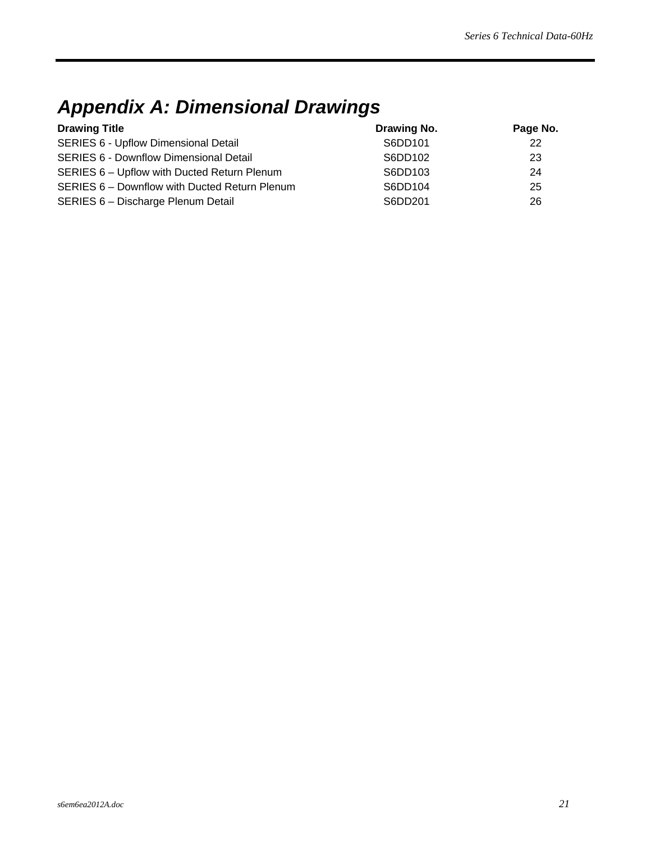## *Appendix A: Dimensional Drawings*

| <b>Drawing Title</b>                          | Drawing No. | Page No. |
|-----------------------------------------------|-------------|----------|
| <b>SERIES 6 - Upflow Dimensional Detail</b>   | S6DD101     | 22       |
| <b>SERIES 6 - Downflow Dimensional Detail</b> | S6DD102     | 23       |
| SERIES 6 - Upflow with Ducted Return Plenum   | S6DD103     | 24       |
| SERIES 6 - Downflow with Ducted Return Plenum | S6DD104     | 25       |
| SERIES 6 - Discharge Plenum Detail            | S6DD201     | 26       |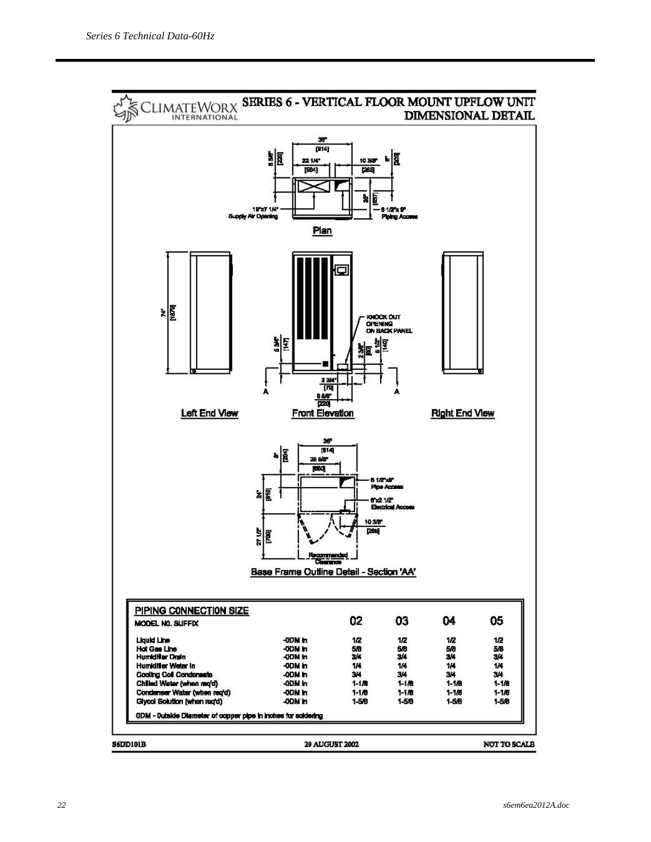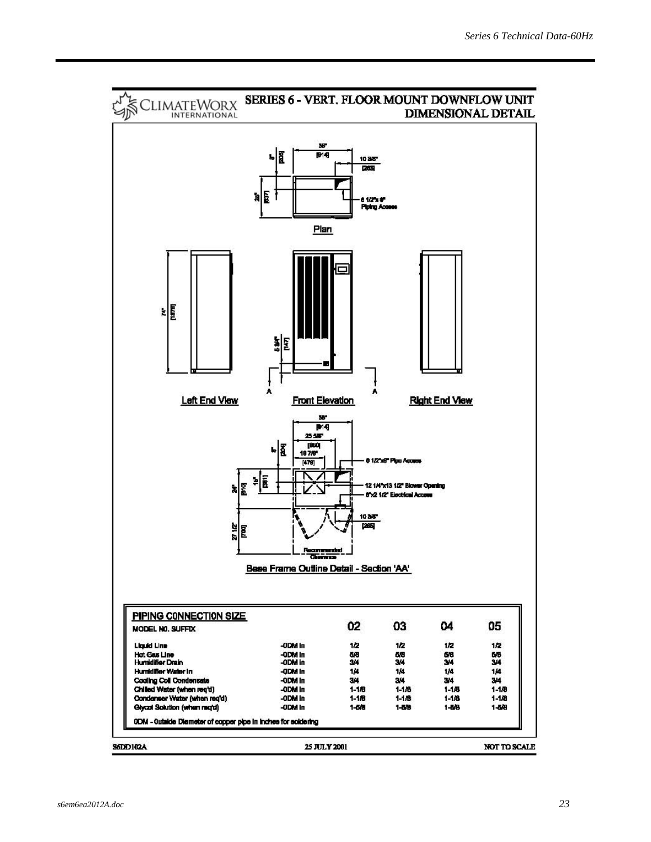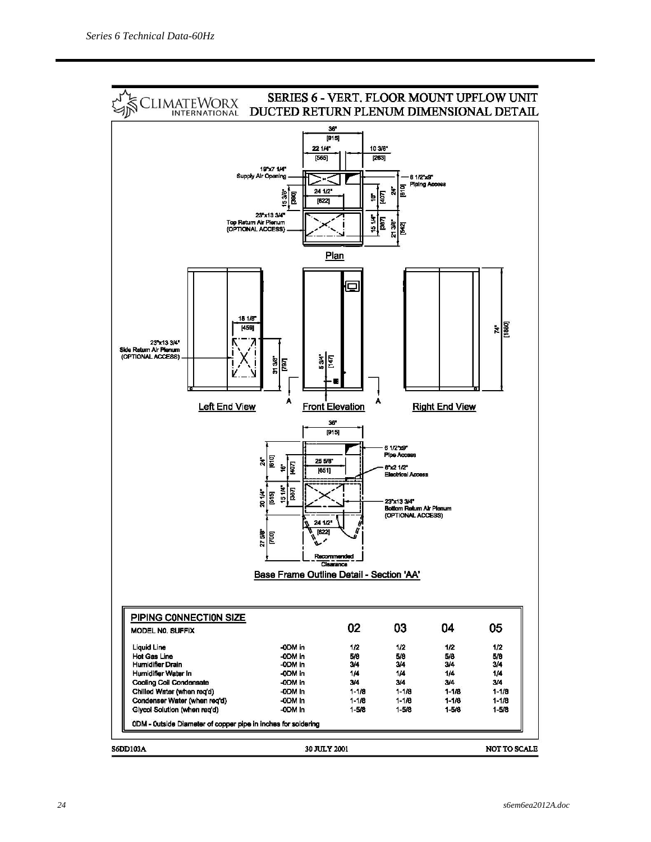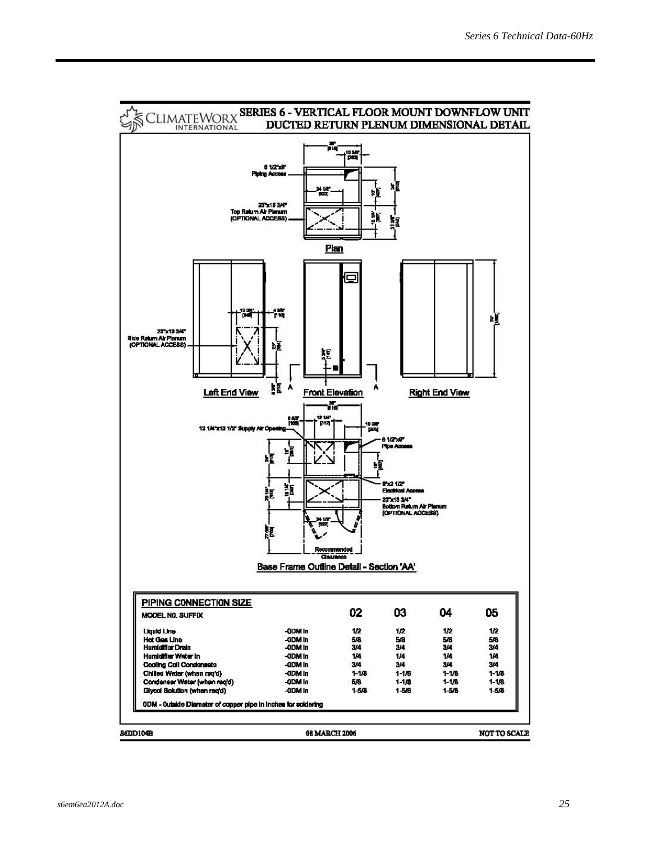